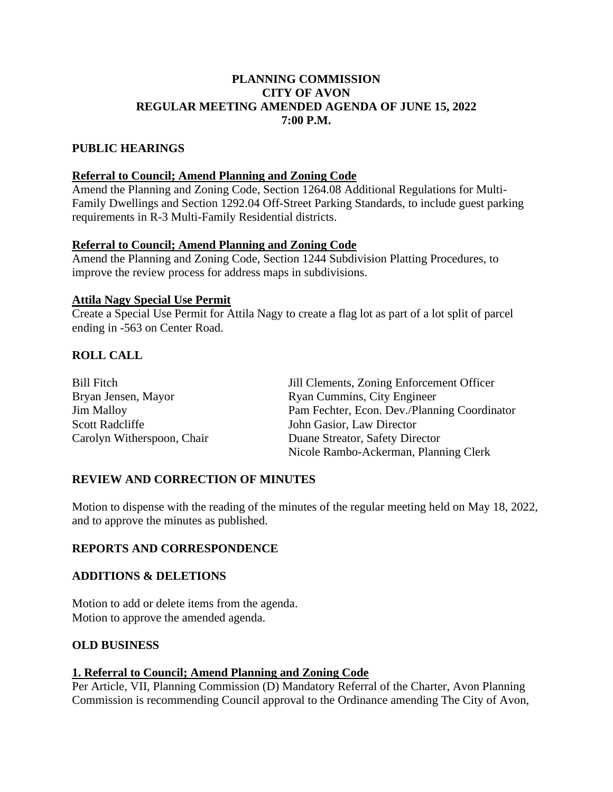## **PLANNING COMMISSION CITY OF AVON REGULAR MEETING AMENDED AGENDA OF JUNE 15, 2022 7:00 P.M.**

## **PUBLIC HEARINGS**

#### **Referral to Council; Amend Planning and Zoning Code**

Amend the Planning and Zoning Code, Section 1264.08 Additional Regulations for Multi-Family Dwellings and Section 1292.04 Off-Street Parking Standards, to include guest parking requirements in R-3 Multi-Family Residential districts.

### **Referral to Council; Amend Planning and Zoning Code**

Amend the Planning and Zoning Code, Section 1244 Subdivision Platting Procedures, to improve the review process for address maps in subdivisions.

### **Attila Nagy Special Use Permit**

Create a Special Use Permit for Attila Nagy to create a flag lot as part of a lot split of parcel ending in -563 on Center Road.

# **ROLL CALL**

| <b>Bill Fitch</b>          | Jill Clements, Zoning Enforcement Officer    |
|----------------------------|----------------------------------------------|
| Bryan Jensen, Mayor        | Ryan Cummins, City Engineer                  |
| <b>Jim Malloy</b>          | Pam Fechter, Econ. Dev./Planning Coordinator |
| <b>Scott Radcliffe</b>     | John Gasior, Law Director                    |
| Carolyn Witherspoon, Chair | Duane Streator, Safety Director              |
|                            | Nicole Rambo-Ackerman, Planning Clerk        |

## **REVIEW AND CORRECTION OF MINUTES**

Motion to dispense with the reading of the minutes of the regular meeting held on May 18, 2022, and to approve the minutes as published.

#### **REPORTS AND CORRESPONDENCE**

#### **ADDITIONS & DELETIONS**

Motion to add or delete items from the agenda. Motion to approve the amended agenda.

## **OLD BUSINESS**

#### **1. Referral to Council; Amend Planning and Zoning Code**

Per Article, VII, Planning Commission (D) Mandatory Referral of the Charter, Avon Planning Commission is recommending Council approval to the Ordinance amending The City of Avon,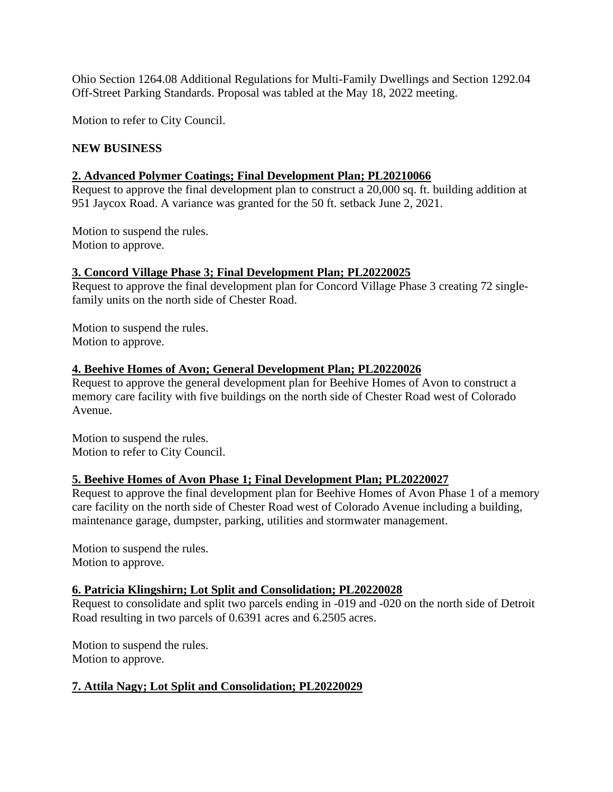Ohio Section 1264.08 Additional Regulations for Multi-Family Dwellings and Section 1292.04 Off-Street Parking Standards. Proposal was tabled at the May 18, 2022 meeting.

Motion to refer to City Council.

### **NEW BUSINESS**

### **2. Advanced Polymer Coatings; Final Development Plan; PL20210066**

Request to approve the final development plan to construct a 20,000 sq. ft. building addition at 951 Jaycox Road. A variance was granted for the 50 ft. setback June 2, 2021.

Motion to suspend the rules. Motion to approve.

#### **3. Concord Village Phase 3; Final Development Plan; PL20220025**

Request to approve the final development plan for Concord Village Phase 3 creating 72 singlefamily units on the north side of Chester Road.

Motion to suspend the rules. Motion to approve.

### **4. Beehive Homes of Avon; General Development Plan; PL20220026**

Request to approve the general development plan for Beehive Homes of Avon to construct a memory care facility with five buildings on the north side of Chester Road west of Colorado Avenue.

Motion to suspend the rules. Motion to refer to City Council.

#### **5. Beehive Homes of Avon Phase 1; Final Development Plan; PL20220027**

Request to approve the final development plan for Beehive Homes of Avon Phase 1 of a memory care facility on the north side of Chester Road west of Colorado Avenue including a building, maintenance garage, dumpster, parking, utilities and stormwater management.

Motion to suspend the rules. Motion to approve.

#### **6. Patricia Klingshirn; Lot Split and Consolidation; PL20220028**

Request to consolidate and split two parcels ending in -019 and -020 on the north side of Detroit Road resulting in two parcels of 0.6391 acres and 6.2505 acres.

Motion to suspend the rules. Motion to approve.

## **7. Attila Nagy; Lot Split and Consolidation; PL20220029**